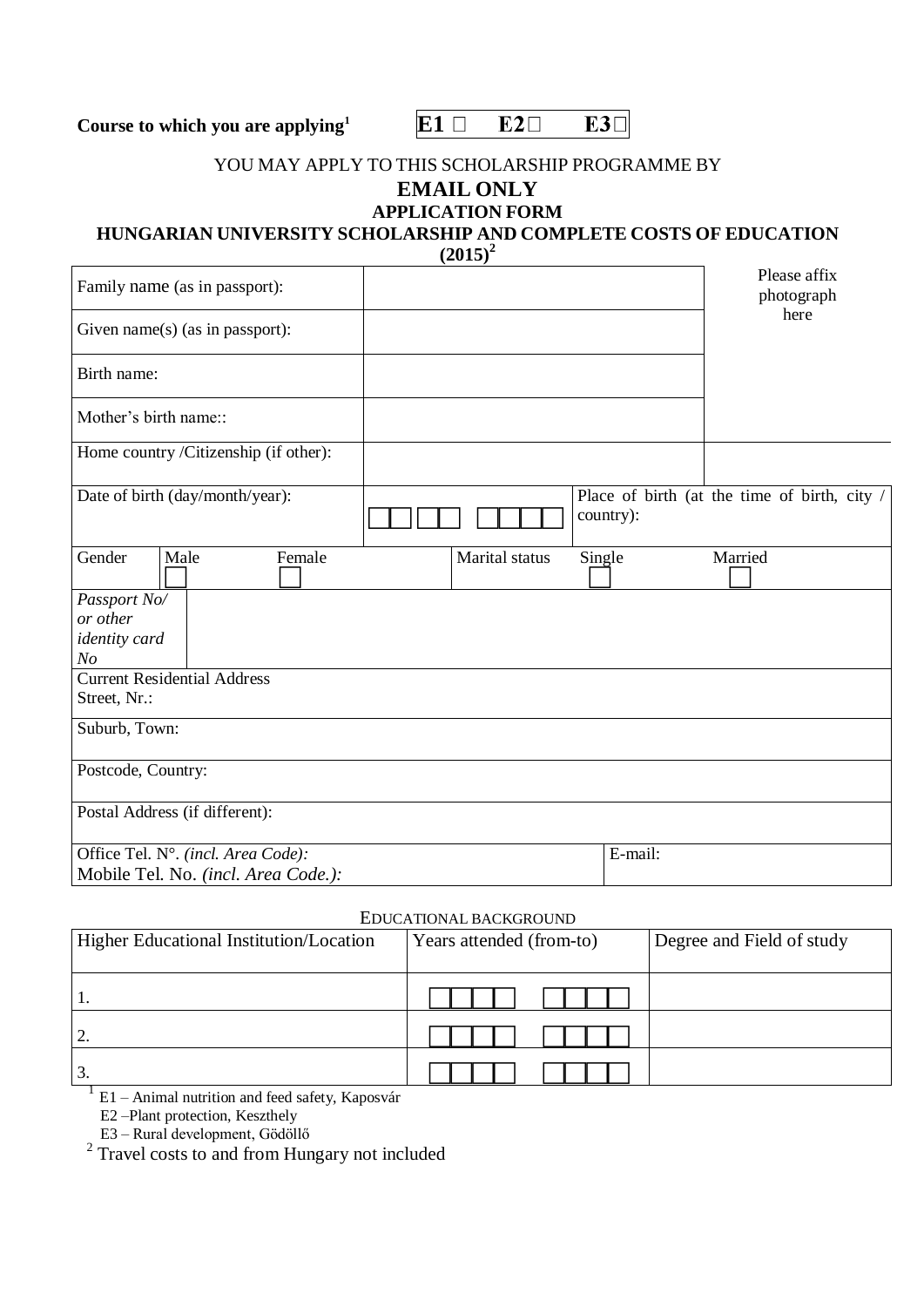**Course to which you are applying<sup>1</sup>**  $E1 \Box$ 



### YOU MAY APPLY TO THIS SCHOLARSHIP PROGRAMME BY **EMAIL ONLY**

# **APPLICATION FORM**

# **HUNGARIAN UNIVERSITY SCHOLARSHIP AND COMPLETE COSTS OF EDUCATION**

 $(2015)^2$ 

| Family name (as in passport):         |                |           | Please affix<br>photograph                   |
|---------------------------------------|----------------|-----------|----------------------------------------------|
| Given name(s) (as in passport):       |                |           | here                                         |
| Birth name:                           |                |           |                                              |
| Mother's birth name::                 |                |           |                                              |
| Home country /Citizenship (if other): |                |           |                                              |
| Date of birth (day/month/year):       |                | country): | Place of birth (at the time of birth, city / |
| Male<br>Gender<br>Female              | Marital status | Single    | Married                                      |
| Passport No/                          |                |           |                                              |
| or other                              |                |           |                                              |
| <i>identity</i> card                  |                |           |                                              |
| No                                    |                |           |                                              |
| <b>Current Residential Address</b>    |                |           |                                              |
| Street, Nr.:                          |                |           |                                              |
| Suburb, Town:                         |                |           |                                              |
| Postcode, Country:                    |                |           |                                              |
| Postal Address (if different):        |                |           |                                              |
| Office Tel. N°. (incl. Area Code):    |                | E-mail:   |                                              |
| Mobile Tel. No. (incl. Area Code.):   |                |           |                                              |

#### EDUCATIONAL BACKGROUND

| Higher Educational Institution/Location | Years attended (from-to) | Degree and Field of study |
|-----------------------------------------|--------------------------|---------------------------|
|                                         |                          |                           |
|                                         |                          |                           |
| J.                                      |                          |                           |

 $1$  E1 – Animal nutrition and feed safety, Kaposvár

E2 –Plant protection, Keszthely

E3 – Rural development, Gödöllő 2 Travel costs to and from Hungary not included